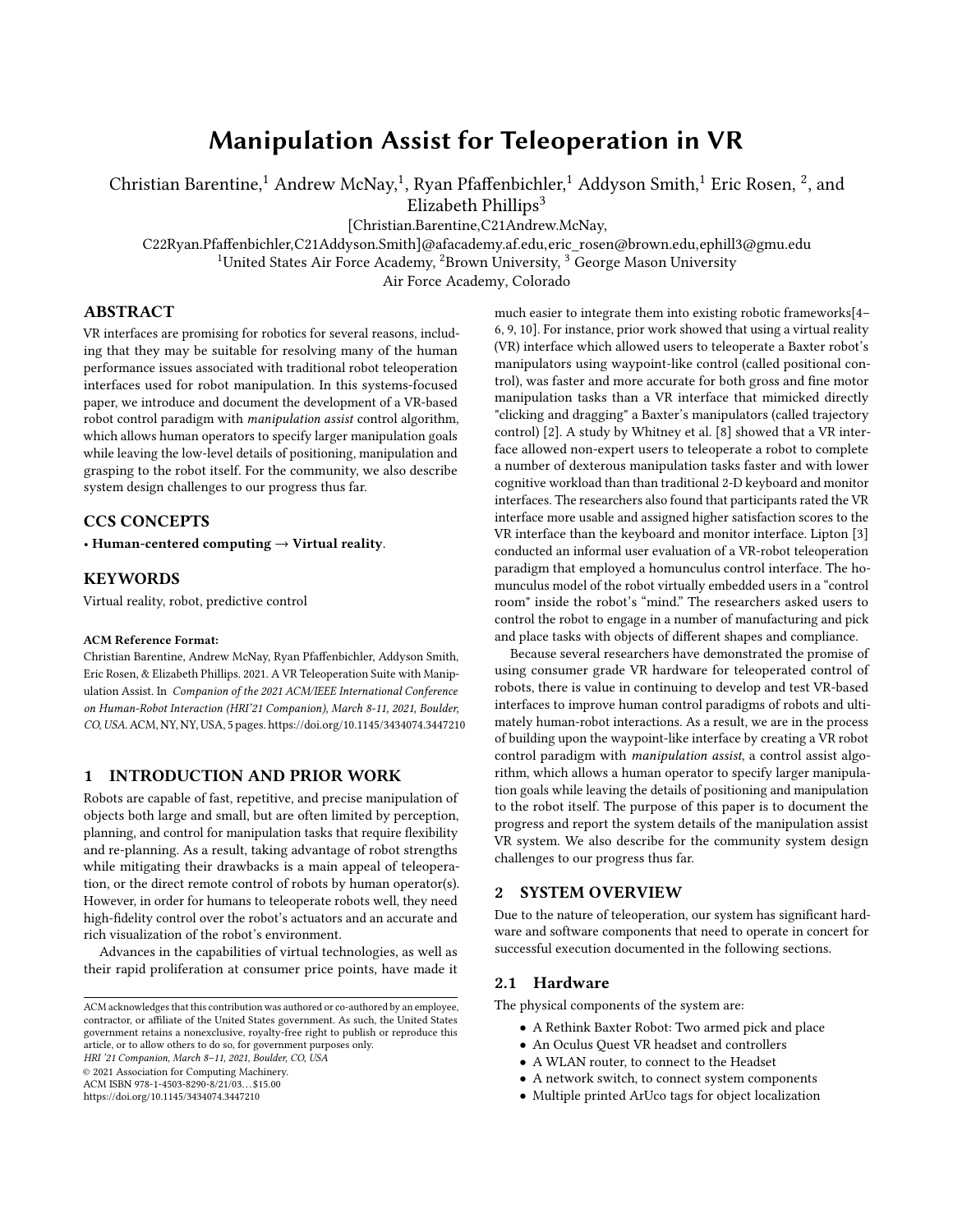# Manipulation Assist for Teleoperation in VR

Christian Barentine, $^1$  Andrew McNay, $^1$ , Ryan Pfaffenbichler, $^1$  Addyson Smith, $^1$  Eric Rosen,  $^2$ , and Elizabeth Phillips $3$ 

[Christian.Barentine,C21Andrew.McNay,

C22Ryan.Pfaffenbichler,C21Addyson.Smith]@afacademy.af.edu,eric\_rosen@brown.edu,ephill3@gmu.edu

<sup>1</sup>United States Air Force Academy, <sup>2</sup>Brown University,  $3\overline{G}$  George Mason University

Air Force Academy, Colorado

## ABSTRACT

VR interfaces are promising for robotics for several reasons, including that they may be suitable for resolving many of the human performance issues associated with traditional robot teleoperation interfaces used for robot manipulation. In this systems-focused paper, we introduce and document the development of a VR-based robot control paradigm with manipulation assist control algorithm, which allows human operators to specify larger manipulation goals while leaving the low-level details of positioning, manipulation and grasping to the robot itself. For the community, we also describe system design challenges to our progress thus far.

## CCS CONCEPTS

• Human-centered computing  $\rightarrow$  Virtual reality.

#### KEYWORDS

Virtual reality, robot, predictive control

#### ACM Reference Format:

Christian Barentine, Andrew McNay, Ryan Pfaffenbichler, Addyson Smith, Eric Rosen, & Elizabeth Phillips. 2021. A VR Teleoperation Suite with Manipulation Assist. In Companion of the 2021 ACM/IEEE International Conference on Human-Robot Interaction (HRI'21 Companion), March 8-11, 2021, Boulder, CO, USA.ACM, NY, NY, USA, 5 pages. https://doi.org/10.1145/3434074.3447210

## 1 INTRODUCTION AND PRIOR WORK

Robots are capable of fast, repetitive, and precise manipulation of objects both large and small, but are often limited by perception, planning, and control for manipulation tasks that require flexibility and re-planning. As a result, taking advantage of robot strengths while mitigating their drawbacks is a main appeal of teleoperation, or the direct remote control of robots by human operator(s). However, in order for humans to teleoperate robots well, they need high-fidelity control over the robot's actuators and an accurate and rich visualization of the robot's environment.

Advances in the capabilities of virtual technologies, as well as their rapid proliferation at consumer price points, have made it

HRI '21 Companion, March 8–11, 2021, Boulder, CO, USA

© 2021 Association for Computing Machinery.

ACM ISBN 978-1-4503-8290-8/21/03. . . \$15.00

<https://doi.org/10.1145/3434074.3447210>

much easier to integrate them into existing robotic frameworks[\[4–](#page-2-0) [6,](#page-2-1) [9,](#page-2-2) [10\]](#page-2-3). For instance, prior work showed that using a virtual reality (VR) interface which allowed users to teleoperate a Baxter robot's manipulators using waypoint-like control (called positional control), was faster and more accurate for both gross and fine motor manipulation tasks than a VR interface that mimicked directly "clicking and dragging" a Baxter's manipulators (called trajectory control) [\[2\]](#page-2-4). A study by Whitney et al. [\[8\]](#page-2-5) showed that a VR interface allowed non-expert users to teleoperate a robot to complete a number of dexterous manipulation tasks faster and with lower cognitive workload than than traditional 2-D keyboard and monitor interfaces. The researchers also found that participants rated the VR interface more usable and assigned higher satisfaction scores to the VR interface than the keyboard and monitor interface. Lipton [\[3\]](#page-2-6) conducted an informal user evaluation of a VR-robot teleoperation paradigm that employed a homunculus control interface. The homunculus model of the robot virtually embedded users in a "control room" inside the robot's "mind." The researchers asked users to control the robot to engage in a number of manufacturing and pick and place tasks with objects of different shapes and compliance.

Because several researchers have demonstrated the promise of using consumer grade VR hardware for teleoperated control of robots, there is value in continuing to develop and test VR-based interfaces to improve human control paradigms of robots and ultimately human-robot interactions. As a result, we are in the process of building upon the waypoint-like interface by creating a VR robot control paradigm with manipulation assist, a control assist algorithm, which allows a human operator to specify larger manipulation goals while leaving the details of positioning and manipulation to the robot itself. The purpose of this paper is to document the progress and report the system details of the manipulation assist VR system. We also describe for the community system design challenges to our progress thus far.

### 2 SYSTEM OVERVIEW

Due to the nature of teleoperation, our system has significant hardware and software components that need to operate in concert for successful execution documented in the following sections.

## 2.1 Hardware

The physical components of the system are:

- A Rethink Baxter Robot: Two armed pick and place
- An Oculus Quest VR headset and controllers
- A WLAN router, to connect to the Headset
- A network switch, to connect system components
- Multiple printed ArUco tags for object localization

ACM acknowledges that this contribution was authored or co-authored by an employee, contractor, or affiliate of the United States government. As such, the United States government retains a nonexclusive, royalty-free right to publish or reproduce this article, or to allow others to do so, for government purposes only.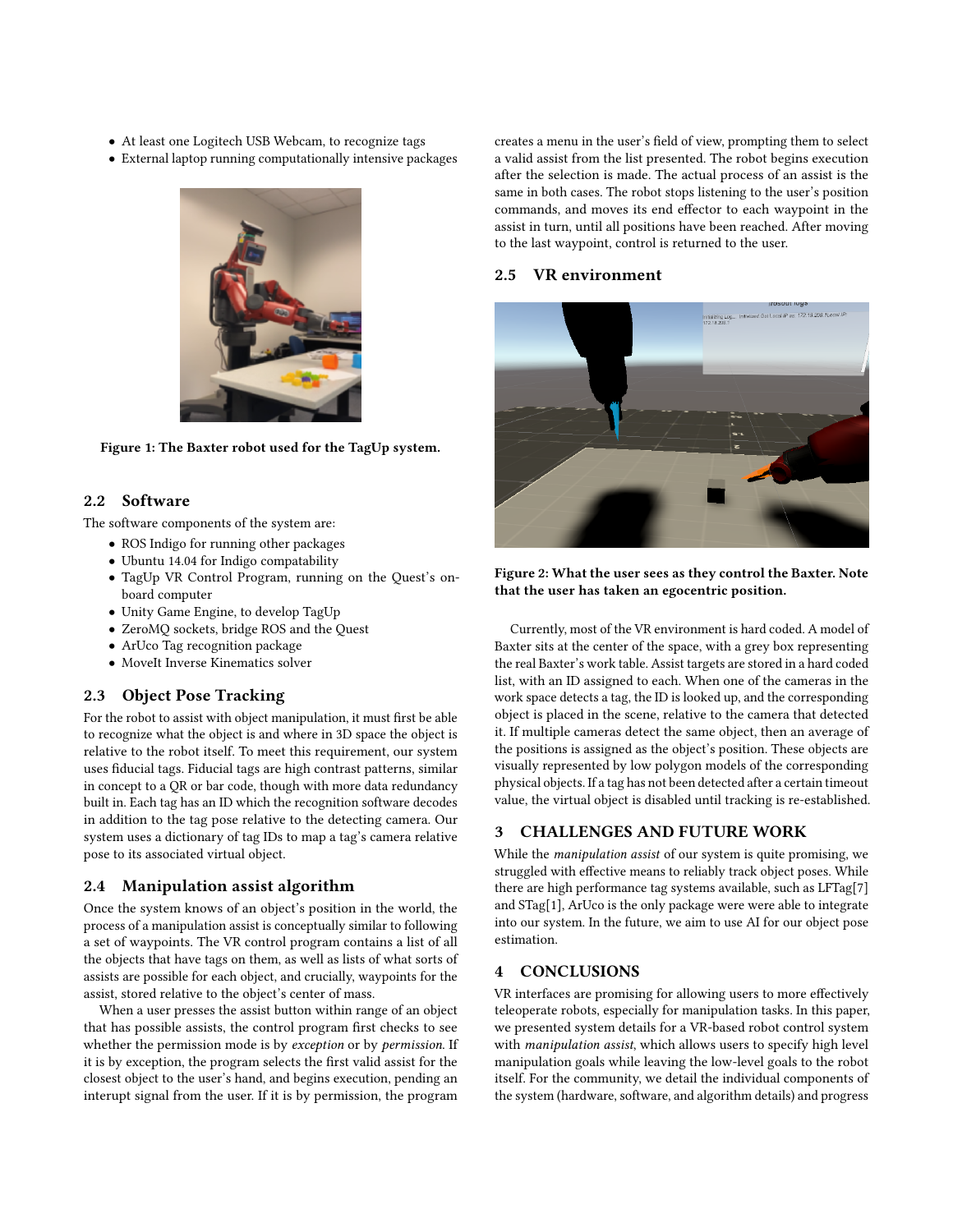- At least one Logitech USB Webcam, to recognize tags
- External laptop running computationally intensive packages



Figure 1: The Baxter robot used for the TagUp system.

#### 2.2 Software

The software components of the system are:

- ROS Indigo for running other packages
- Ubuntu 14.04 for Indigo compatability
- TagUp VR Control Program, running on the Quest's onboard computer
- Unity Game Engine, to develop TagUp
- ZeroMQ sockets, bridge ROS and the Quest
- ArUco Tag recognition package
- MoveIt Inverse Kinematics solver

### 2.3 Object Pose Tracking

For the robot to assist with object manipulation, it must first be able to recognize what the object is and where in 3D space the object is relative to the robot itself. To meet this requirement, our system uses fiducial tags. Fiducial tags are high contrast patterns, similar in concept to a QR or bar code, though with more data redundancy built in. Each tag has an ID which the recognition software decodes in addition to the tag pose relative to the detecting camera. Our system uses a dictionary of tag IDs to map a tag's camera relative pose to its associated virtual object.

### 2.4 Manipulation assist algorithm

Once the system knows of an object's position in the world, the process of a manipulation assist is conceptually similar to following a set of waypoints. The VR control program contains a list of all the objects that have tags on them, as well as lists of what sorts of assists are possible for each object, and crucially, waypoints for the assist, stored relative to the object's center of mass.

When a user presses the assist button within range of an object that has possible assists, the control program first checks to see whether the permission mode is by exception or by permission. If it is by exception, the program selects the first valid assist for the closest object to the user's hand, and begins execution, pending an interupt signal from the user. If it is by permission, the program creates a menu in the user's field of view, prompting them to select a valid assist from the list presented. The robot begins execution after the selection is made. The actual process of an assist is the same in both cases. The robot stops listening to the user's position commands, and moves its end effector to each waypoint in the assist in turn, until all positions have been reached. After moving to the last waypoint, control is returned to the user.

## 2.5 VR environment



Figure 2: What the user sees as they control the Baxter. Note that the user has taken an egocentric position.

Currently, most of the VR environment is hard coded. A model of Baxter sits at the center of the space, with a grey box representing the real Baxter's work table. Assist targets are stored in a hard coded list, with an ID assigned to each. When one of the cameras in the work space detects a tag, the ID is looked up, and the corresponding object is placed in the scene, relative to the camera that detected it. If multiple cameras detect the same object, then an average of the positions is assigned as the object's position. These objects are visually represented by low polygon models of the corresponding physical objects. If a tag has not been detected after a certain timeout value, the virtual object is disabled until tracking is re-established.

## 3 CHALLENGES AND FUTURE WORK

While the manipulation assist of our system is quite promising, we struggled with effective means to reliably track object poses. While there are high performance tag systems available, such as LFTag[\[7\]](#page-2-7) and STag[\[1\]](#page-2-8), ArUco is the only package were were able to integrate into our system. In the future, we aim to use AI for our object pose estimation.

## 4 CONCLUSIONS

VR interfaces are promising for allowing users to more effectively teleoperate robots, especially for manipulation tasks. In this paper, we presented system details for a VR-based robot control system with manipulation assist, which allows users to specify high level manipulation goals while leaving the low-level goals to the robot itself. For the community, we detail the individual components of the system (hardware, software, and algorithm details) and progress